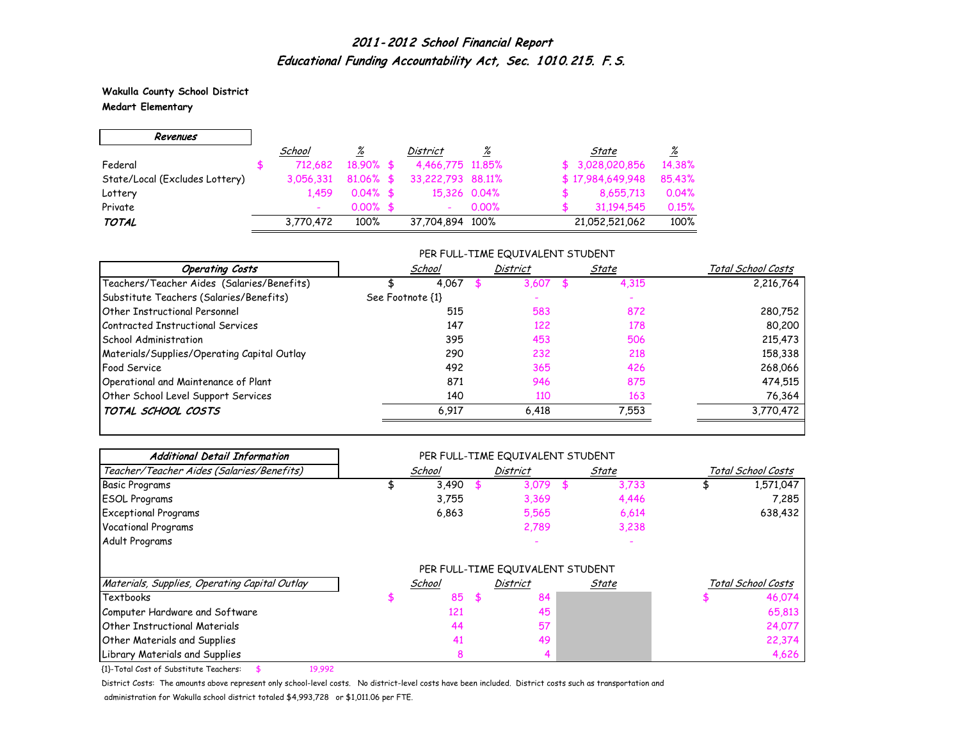**Wakulla County School District Medart Elementary**

 $\overline{\phantom{0}}$ 

 $\Gamma$ 

| Revenues                       |           |              |                   |       |                  |                 |
|--------------------------------|-----------|--------------|-------------------|-------|------------------|-----------------|
|                                | School    | %            | District          | %     | State            | $\frac{\%}{\%}$ |
| Federal                        | 712.682   | $18.90\%$ \$ | 4,466,775 11,85%  |       | \$3,028,020,856  | 14.38%          |
| State/Local (Excludes Lottery) | 3.056.331 | $81.06\%$ \$ | 33,222,793 88,11% |       | \$17,984,649,948 | 85.43%          |
| Lottery                        | 1.459     | $0.04\%$ \$  | 15.326 0.04%      |       | 8,655,713        | 0.04%           |
| Private                        |           | $0.00\%$ \$  |                   | 0.00% | 31,194,545       | 0.15%           |
| <b>TOTAL</b>                   | 3,770,472 | 100%         | 37,704,894 100%   |       | 21,052,521,062   | 100%            |

#### PER FULL-TIME EQUIVALENT STUDENT

| Total School Costs |
|--------------------|
| 2,216,764          |
|                    |
| 280,752            |
| 80,200             |
| 215,473            |
| 158,338            |
| 268,066            |
| 474,515            |
| 76,364             |
| 3,770,472          |
|                    |

| <b>Additional Detail Information</b>          |        | PER FULL-TIME EQUIVALENT STUDENT |       |                    |
|-----------------------------------------------|--------|----------------------------------|-------|--------------------|
| Teacher/Teacher Aides (Salaries/Benefits)     | School | <b>District</b>                  | State | Total School Costs |
| <b>Basic Programs</b>                         | 3,490  | 3,079                            | 3,733 | 1,571,047          |
| <b>ESOL Programs</b>                          | 3,755  | 3,369                            | 4,446 | 7,285              |
| <b>Exceptional Programs</b>                   | 6,863  | 5,565                            | 6,614 | 638,432            |
| <b>Vocational Programs</b>                    |        | 2,789                            | 3,238 |                    |
| Adult Programs                                |        |                                  |       |                    |
|                                               |        | PER FULL-TIME EQUIVALENT STUDENT |       |                    |
| Materials, Supplies, Operating Capital Outlay | School | District                         | State | Total School Costs |
| Textbooks                                     | 85     | \$<br>84                         |       | 46,074             |
| Computer Hardware and Software                | 121    | 45                               |       | 65,813             |
| <b>Other Instructional Materials</b>          | 44     | 57                               |       | 24,077             |
| Other Materials and Supplies                  | 41     | 49                               |       | 22,374             |
| Library Materials and Supplies                |        |                                  |       | 4,626              |

{1}-Total Cost of Substitute Teachers: \$ 19,992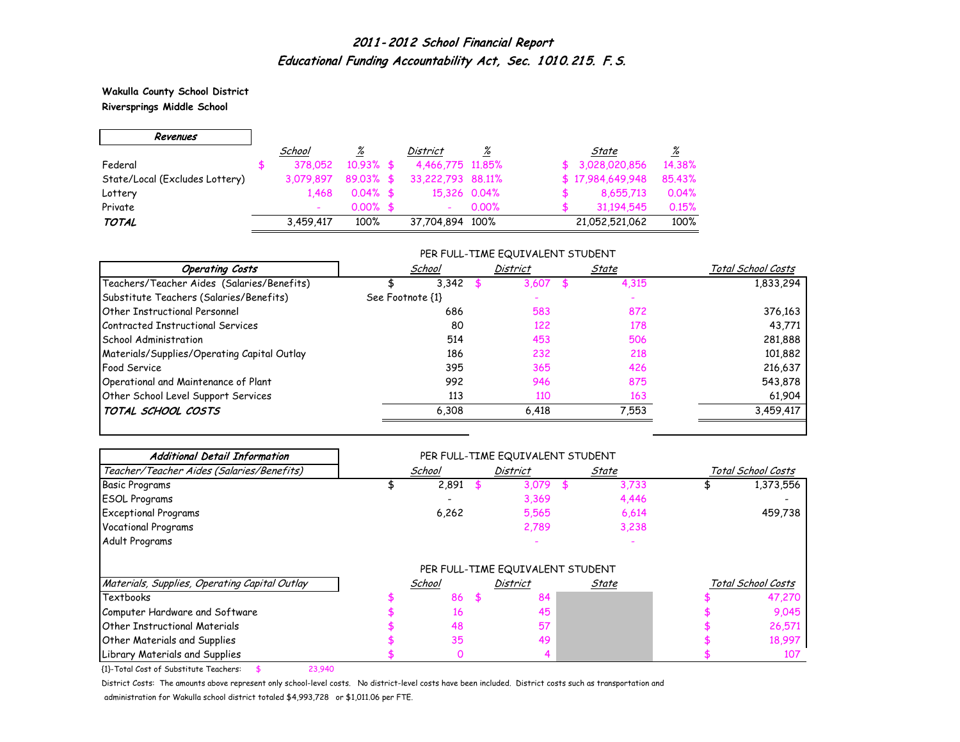**Wakulla County School District Riversprings Middle School**

 $\Gamma$ 

 $\overline{\phantom{0}}$ 

| Revenues                       |           |              |                   |       |     |                  |                 |
|--------------------------------|-----------|--------------|-------------------|-------|-----|------------------|-----------------|
|                                | School    | ℅            | <b>District</b>   | ℅     |     | State            | $\frac{\%}{\%}$ |
| Federal                        | 378.052   | $10.93\%$ \$ | 4,466,775 11,85%  |       | .ST | 3,028,020,856    | 14.38%          |
| State/Local (Excludes Lottery) | 3.079.897 | $89.03\%$ \$ | 33,222,793 88,11% |       |     | \$17,984,649,948 | 85.43%          |
| Lottery                        | 1.468     | $0.04\%$ \$  | 15,326 0.04%      |       |     | 8,655,713        | 0.04%           |
| Private                        |           | $0.00\%$ \$  |                   | 0.00% |     | 31,194,545       | 0.15%           |
| <b>TOTAL</b>                   | 3,459,417 | 100%         | 37,704,894 100%   |       |     | 21,052,521,062   | 100%            |

#### PER FULL-TIME EQUIVALENT STUDENT

| <b>Operating Costs</b>                      | School           | District | State | Total School Costs |
|---------------------------------------------|------------------|----------|-------|--------------------|
| Teachers/Teacher Aides (Salaries/Benefits)  | 3.342            | 3.607    | 4,315 | 1,833,294          |
| Substitute Teachers (Salaries/Benefits)     | See Footnote {1} |          |       |                    |
| Other Instructional Personnel               | 686              | 583      | 872   | 376,163            |
| Contracted Instructional Services           | 80               | 122      | 178   | 43,771             |
| School Administration                       | 514              | 453      | 506   | 281,888            |
| Materials/Supplies/Operating Capital Outlay | 186              | 232      | 218   | 101,882            |
| <b>Food Service</b>                         | 395              | 365      | 426   | 216,637            |
| Operational and Maintenance of Plant        | 992              | 946      | 875   | 543,878            |
| Other School Level Support Services         | 113              | 110      | 163   | 61,904             |
| TOTAL SCHOOL COSTS                          | 6,308            | 6,418    | 7,553 | 3,459,417          |

| <b>Additional Detail Information</b>          |        | PER FULL-TIME EQUIVALENT STUDENT |       |                    |
|-----------------------------------------------|--------|----------------------------------|-------|--------------------|
| Teacher/Teacher Aides (Salaries/Benefits)     | School | <b>District</b>                  | State | Total School Costs |
| <b>Basic Programs</b>                         | 2,891  | 3,079                            | 3,733 | 1,373,556          |
| <b>ESOL Programs</b>                          |        | 3,369                            | 4,446 |                    |
| <b>Exceptional Programs</b>                   | 6,262  | 5,565                            | 6,614 | 459,738            |
| Vocational Programs                           |        | 2,789                            | 3,238 |                    |
| Adult Programs                                |        |                                  |       |                    |
|                                               |        | PER FULL-TIME EQUIVALENT STUDENT |       |                    |
| Materials, Supplies, Operating Capital Outlay | School | <b>District</b>                  | State | Total School Costs |
| Textbooks                                     | 86     | \$<br>84                         |       | 47,270             |
| Computer Hardware and Software                | 16     | 45                               |       | 9,045              |
| <b>Other Instructional Materials</b>          | 48     | 57                               |       | 26,571             |
| <b>Other Materials and Supplies</b>           | 35     | 49                               |       | 18,997             |
| Library Materials and Supplies                | O      |                                  |       | 107                |

{1}-Total Cost of Substitute Teachers: \$ 23,940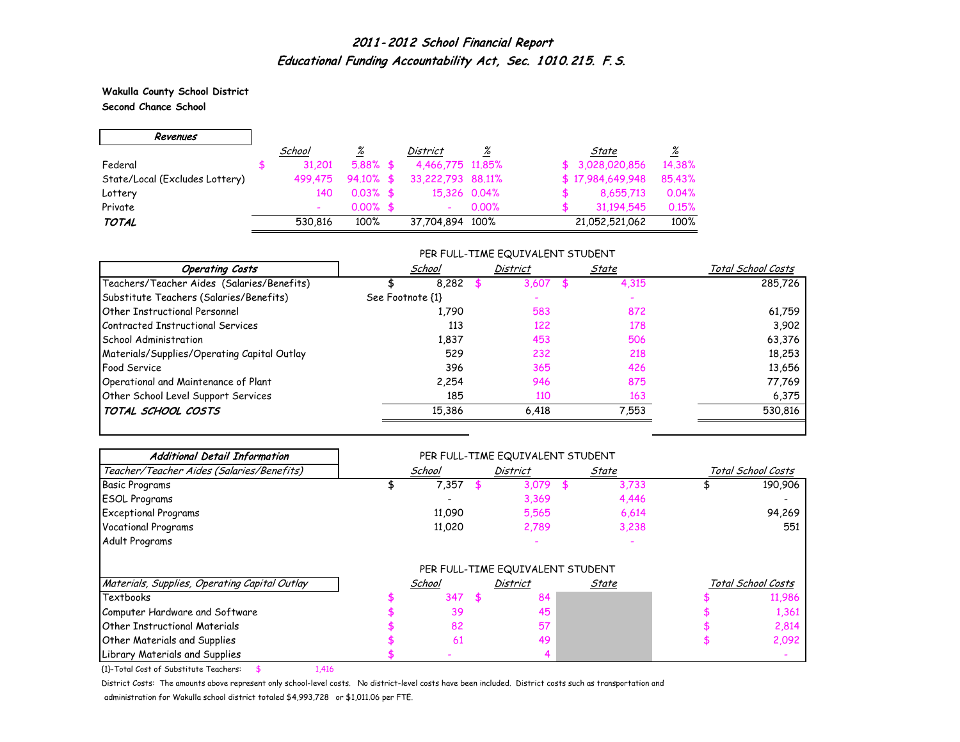**Wakulla County School District Second Chance School**

 $\blacksquare$ 

 $\overline{\phantom{0}}$ 

| Revenues                       |         |              |                   |       |                  |          |
|--------------------------------|---------|--------------|-------------------|-------|------------------|----------|
|                                | School  | <u>%</u>     | District          | %     | State            | <u>%</u> |
| Federal                        | 31,201  | $5.88\%$ \$  | 4,466,775 11,85%  |       | \$3,028,020,856  | 14.38%   |
| State/Local (Excludes Lottery) | 499.475 | $94.10\%$ \$ | 33,222,793 88,11% |       | \$17,984,649,948 | 85.43%   |
| Lottery                        | 140     | $0.03\%$ \$  | 15,326 0.04%      |       | 8,655,713        | 0.04%    |
| Private                        |         | $0.00\%$ \$  |                   | 0.00% | 31,194,545       | 0.15%    |
| <b>TOTAL</b>                   | 530.816 | 100%         | 37,704,894 100%   |       | 21,052,521,062   | 100%     |

#### PER FULL-TIME EQUIVALENT STUDENT

| <b>Operating Costs</b>                      | School           | <b>District</b> | State | Total School Costs |
|---------------------------------------------|------------------|-----------------|-------|--------------------|
| Teachers/Teacher Aides (Salaries/Benefits)  | 8.282            | 3,607           | 4,315 | 285,726            |
| Substitute Teachers (Salaries/Benefits)     | See Footnote {1} |                 |       |                    |
| Other Instructional Personnel               | 1.790            | 583             | 872   | 61,759             |
| Contracted Instructional Services           | 113              | 122             | 178   | 3.902              |
| School Administration                       | 1,837            | 453             | 506   | 63,376             |
| Materials/Supplies/Operating Capital Outlay | 529              | 232             | 218   | 18,253             |
| <b>Food Service</b>                         | 396              | 365             | 426   | 13,656             |
| Operational and Maintenance of Plant        | 2.254            | 946             | 875   | 77,769             |
| Other School Level Support Services         | 185              | 110             | 163   | 6,375              |
| TOTAL SCHOOL COSTS                          | 15,386           | 6.418           | 7,553 | 530,816            |

| <b>Additional Detail Information</b>          |        |     | PER FULL-TIME EQUIVALENT STUDENT |       |       |                    |
|-----------------------------------------------|--------|-----|----------------------------------|-------|-------|--------------------|
| Teacher/Teacher Aides (Salaries/Benefits)     | School |     | <b>District</b>                  | State |       | Total School Costs |
| <b>Basic Programs</b>                         | 7,357  |     | 3,079                            |       | 3,733 | 190,906            |
| <b>ESOL Programs</b>                          |        |     | 3,369                            |       | 4,446 |                    |
| <b>Exceptional Programs</b>                   | 11,090 |     | 5,565                            |       | 6,614 | 94,269             |
| <b>Vocational Programs</b>                    | 11,020 |     | 2,789                            |       | 3,238 | 551                |
| Adult Programs                                |        |     |                                  |       |       |                    |
|                                               |        |     | PER FULL-TIME EQUIVALENT STUDENT |       |       |                    |
| Materials, Supplies, Operating Capital Outlay | School |     | <b>District</b>                  | State |       | Total School Costs |
| Textbooks                                     | 347    | -56 | 84                               |       |       | 11,986             |
| Computer Hardware and Software                | 39     |     | 45                               |       |       | 1,361              |
| <b>Other Instructional Materials</b>          | 82     |     | 57                               |       |       | 2,814              |
| Other Materials and Supplies                  | 61     |     | 49                               |       |       | 2,092              |
| Library Materials and Supplies                |        |     |                                  |       |       |                    |

{1}-Total Cost of Substitute Teachers: \$ 1,416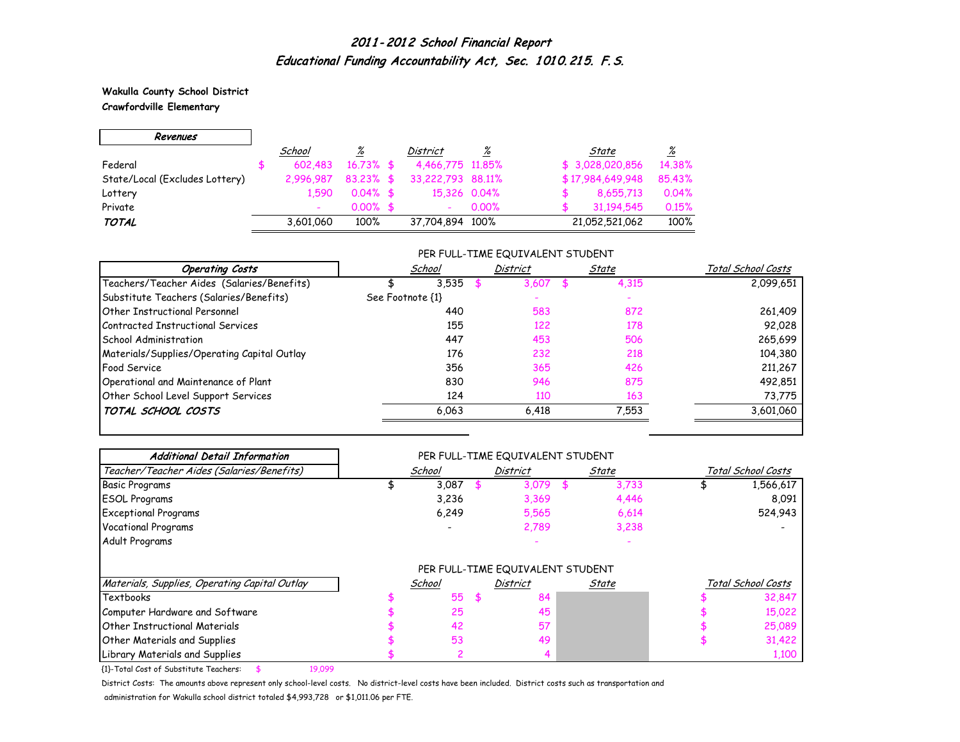**Wakulla County School District**

**Crawfordville Elementary**

 $\Gamma$ 

| Revenues                       |                          |                 |                          |                 |                  |                 |
|--------------------------------|--------------------------|-----------------|--------------------------|-----------------|------------------|-----------------|
|                                | School                   | $\frac{\%}{\%}$ | District                 | $\frac{\%}{\%}$ | State            | $\frac{\%}{\%}$ |
| Federal                        | 602.483                  | $16.73\%$ \$    | 4,466,775 11,85%         |                 | \$3,028,020,856  | 14.38%          |
| State/Local (Excludes Lottery) | 2.996.987                | $83.23\%$ \$    | 33,222,793 88,11%        |                 | \$17,984,649,948 | 85.43%          |
| Lottery                        | 1,590                    | $0.04\%$ \$     |                          | 15,326 0.04%    | 8,655,713        | 0.04%           |
| Private                        | $\overline{\phantom{0}}$ | $0.00\%$ \$     | $\overline{\phantom{0}}$ | $0.00\%$        | 31,194,545       | 0.15%           |
| <b>TOTAL</b>                   | 3,601,060                | 100%            | 37,704,894 100%          |                 | 21,052,521,062   | 100%            |

#### PER FULL-TIME EQUIVALENT STUDENT

| <b>Operating Costs</b>                      | School           | District | State       | Total School Costs |
|---------------------------------------------|------------------|----------|-------------|--------------------|
| Teachers/Teacher Aides (Salaries/Benefits)  | 3.535            | 3.607    | 4,315<br>£. | 2,099,651          |
| Substitute Teachers (Salaries/Benefits)     | See Footnote {1} |          |             |                    |
| Other Instructional Personnel               | 440              | 583      | 872         | 261,409            |
| Contracted Instructional Services           | 155              | 122      | 178         | 92,028             |
| <b>School Administration</b>                | 447              | 453      | 506         | 265,699            |
| Materials/Supplies/Operating Capital Outlay | 176              | 232      | 218         | 104,380            |
| <b>Food Service</b>                         | 356              | 365      | 426         | 211,267            |
| Operational and Maintenance of Plant        | 830              | 946      | 875         | 492,851            |
| Other School Level Support Services         | 124              | 110      | 163         | 73,775             |
| TOTAL SCHOOL COSTS                          | 6,063            | 6,418    | 7,553       | 3,601,060          |

| <b>Additional Detail Information</b>          |        | PER FULL-TIME EQUIVALENT STUDENT |       |                    |
|-----------------------------------------------|--------|----------------------------------|-------|--------------------|
| Teacher/Teacher Aides (Salaries/Benefits)     | School | <b>District</b>                  | State | Total School Costs |
| <b>Basic Programs</b>                         | 3,087  | 3,079                            | 3,733 | 1,566,617          |
| <b>ESOL Programs</b>                          | 3,236  | 3,369                            | 4,446 | 8,091              |
| <b>Exceptional Programs</b>                   | 6,249  | 5,565                            | 6,614 | 524,943            |
| Vocational Programs                           |        | 2,789                            | 3,238 |                    |
| Adult Programs                                |        |                                  |       |                    |
|                                               |        | PER FULL-TIME EQUIVALENT STUDENT |       |                    |
| Materials, Supplies, Operating Capital Outlay | School | <b>District</b>                  | State | Total School Costs |
| Textbooks                                     | 55     | \$<br>84                         |       | 32,847             |
| Computer Hardware and Software                | 25     | 45                               |       | 15,022             |
| <b>Other Instructional Materials</b>          | 42     | 57                               |       | 25,089             |
| <b>Other Materials and Supplies</b>           | 53     | 49                               |       | 31,422             |
| Library Materials and Supplies                |        |                                  |       | 1,100              |

{1}-Total Cost of Substitute Teachers: \$ 19,099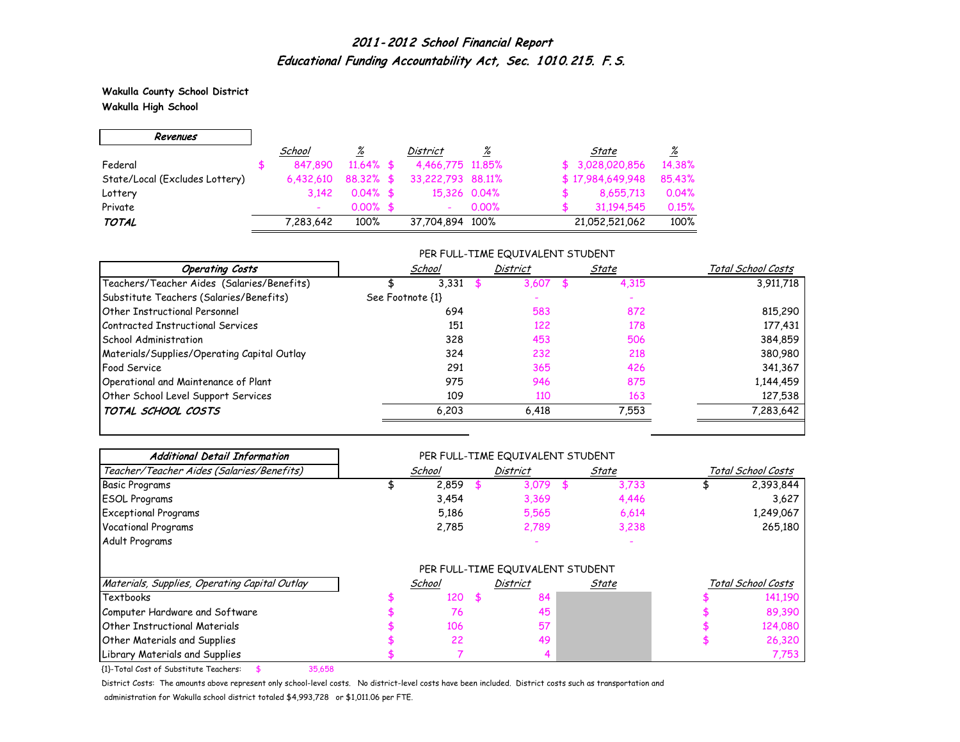**Wakulla County School District Wakulla High School**

 $\overline{\phantom{0}}$ 

 $\Gamma$ 

| Revenues                       |           |              |                   |       |                  |                 |
|--------------------------------|-----------|--------------|-------------------|-------|------------------|-----------------|
|                                | School    | <u>%</u>     | District          | %     | State            | $\frac{\%}{\%}$ |
| Federal                        | 847,890   | $11.64\%$ \$ | 4,466,775 11,85%  |       | \$3,028,020,856  | 14.38%          |
| State/Local (Excludes Lottery) | 6.432.610 | $88.32\%$ \$ | 33,222,793 88,11% |       | \$17,984,649,948 | 85.43%          |
| Lottery                        | 3.142     | $0.04\%$ \$  | 15,326 0.04%      |       | 8,655,713        | 0.04%           |
| Private                        |           | $0.00\%$ \$  |                   | 0.00% | 31.194.545       | 0.15%           |
| <b>TOTAL</b>                   | 7,283,642 | 100%         | 37,704,894 100%   |       | 21,052,521,062   | 100%            |

#### PER FULL-TIME EQUIVALENT STUDENT

| <b>Operating Costs</b>                      | School           | <b>District</b> | State | Total School Costs |
|---------------------------------------------|------------------|-----------------|-------|--------------------|
| Teachers/Teacher Aides (Salaries/Benefits)  | 3,331            | 3.607           | 4,315 | 3,911,718          |
| Substitute Teachers (Salaries/Benefits)     | See Footnote {1} |                 |       |                    |
| Other Instructional Personnel               | 694              | 583             | 872   | 815,290            |
| Contracted Instructional Services           | 151              | 122             | 178   | 177,431            |
| School Administration                       | 328              | 453             | 506   | 384,859            |
| Materials/Supplies/Operating Capital Outlay | 324              | 232             | 218   | 380,980            |
| <b>Food Service</b>                         | 291              | 365             | 426   | 341,367            |
| Operational and Maintenance of Plant        | 975              | 946             | 875   | 1,144,459          |
| Other School Level Support Services         | 109              | 110             | 163   | 127,538            |
| TOTAL SCHOOL COSTS                          | 6,203            | 6,418           | 7,553 | 7,283,642          |

| <b>Additional Detail Information</b>          |        | PER FULL-TIME EQUIVALENT STUDENT |       |                    |
|-----------------------------------------------|--------|----------------------------------|-------|--------------------|
| Teacher/Teacher Aides (Salaries/Benefits)     | School | <b>District</b>                  | State | Total School Costs |
| <b>Basic Programs</b>                         | 2,859  | 3,079                            | 3,733 | 2,393,844          |
| <b>ESOL Programs</b>                          | 3,454  | 3,369                            | 4,446 | 3,627              |
| <b>Exceptional Programs</b>                   | 5,186  | 5,565                            | 6,614 | 1,249,067          |
| Vocational Programs                           | 2,785  | 2,789                            | 3,238 | 265,180            |
| Adult Programs                                |        |                                  |       |                    |
|                                               |        | PER FULL-TIME EQUIVALENT STUDENT |       |                    |
| Materials, Supplies, Operating Capital Outlay | School | <b>District</b>                  | State | Total School Costs |
| Textbooks                                     | 120    | \$<br>84                         |       | 141,190            |
| Computer Hardware and Software                | 76     | 45                               |       | 89,390             |
| <b>Other Instructional Materials</b>          | 106    | 57                               |       | 124,080            |
| <b>Other Materials and Supplies</b>           | 22     | 49                               |       | 26,320             |
| Library Materials and Supplies                |        |                                  |       | 7,753              |

{1}-Total Cost of Substitute Teachers: \$ 35,658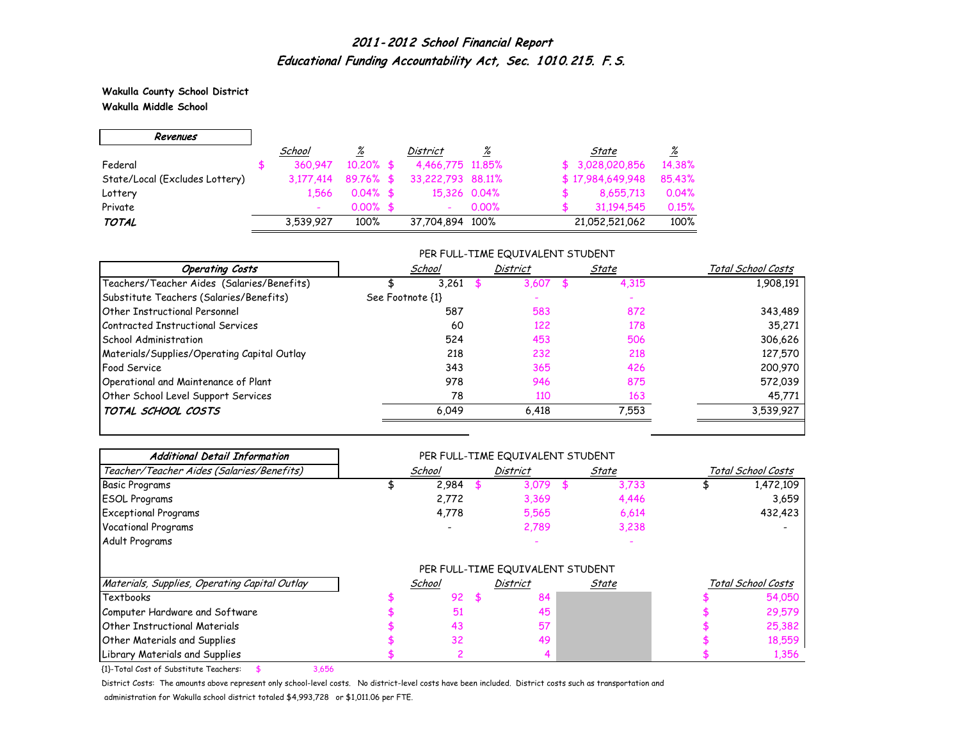**Wakulla County School District Wakulla Middle School**

 $\Gamma$ 

| Revenues                       |           |              |                   |       |                  |        |
|--------------------------------|-----------|--------------|-------------------|-------|------------------|--------|
|                                | School    | %            | District          | %     | State            | %      |
| Federal                        | 360.947   | $10,20\%$ \$ | 4,466,775 11,85%  |       | \$3,028,020,856  | 14.38% |
| State/Local (Excludes Lottery) | 3,177,414 | 89.76% \$    | 33,222,793 88,11% |       | \$17,984,649,948 | 85.43% |
| Lottery                        | 1.566     | $0.04\%$ \$  | 15,326 0.04%      |       | 8,655,713        | 0.04%  |
| Private                        |           | $0.00\%$ \$  |                   | 0.00% | 31,194,545       | 0.15%  |
| <b>TOTAL</b>                   | 3,539,927 | 100%         | 37,704,894 100%   |       | 21,052,521,062   | 100%   |

#### PER FULL-TIME EQUIVALENT STUDENT

| School           | <b>District</b> | State | Total School Costs |
|------------------|-----------------|-------|--------------------|
| 3.261            | 3.607           | 4,315 | 1,908,191          |
| See Footnote {1} |                 |       |                    |
| 587              | 583             | 872   | 343,489            |
| 60               | 122             | 178   | 35,271             |
| 524              | 453             | 506   | 306,626            |
| 218              | 232             | 218   | 127,570            |
| 343              | 365             | 426   | 200,970            |
| 978              | 946             | 875   | 572,039            |
| 78               | 110             | 163   | 45,771             |
| 6,049            | 6,418           | 7,553 | 3,539,927          |
|                  |                 |       |                    |

| <b>Additional Detail Information</b>          |        |   | PER FULL-TIME EQUIVALENT STUDENT |       |                    |
|-----------------------------------------------|--------|---|----------------------------------|-------|--------------------|
| Teacher/Teacher Aides (Salaries/Benefits)     | School |   | <b>District</b>                  | State | Total School Costs |
| <b>Basic Programs</b>                         | 2,984  |   | 3,079                            | 3,733 | 1,472,109          |
| <b>ESOL Programs</b>                          | 2,772  |   | 3,369                            | 4,446 | 3,659              |
| <b>Exceptional Programs</b>                   | 4,778  |   | 5,565                            | 6,614 | 432,423            |
| <b>Vocational Programs</b>                    |        |   | 2,789                            | 3,238 |                    |
| Adult Programs                                |        |   |                                  |       |                    |
|                                               |        |   | PER FULL-TIME EQUIVALENT STUDENT |       |                    |
| Materials, Supplies, Operating Capital Outlay | School |   | District                         | State | Total School Costs |
| Textbooks                                     | 92     | 5 | 84                               |       | 54,050             |
| Computer Hardware and Software                | 51     |   | 45                               |       | 29,579             |
| <b>Other Instructional Materials</b>          | 43     |   | 57                               |       | 25,382             |
| <b>Other Materials and Supplies</b>           | 32     |   | 49                               |       | 18,559             |
| Library Materials and Supplies                |        |   |                                  |       | 1,356              |

{1}-Total Cost of Substitute Teachers: \$ 3,656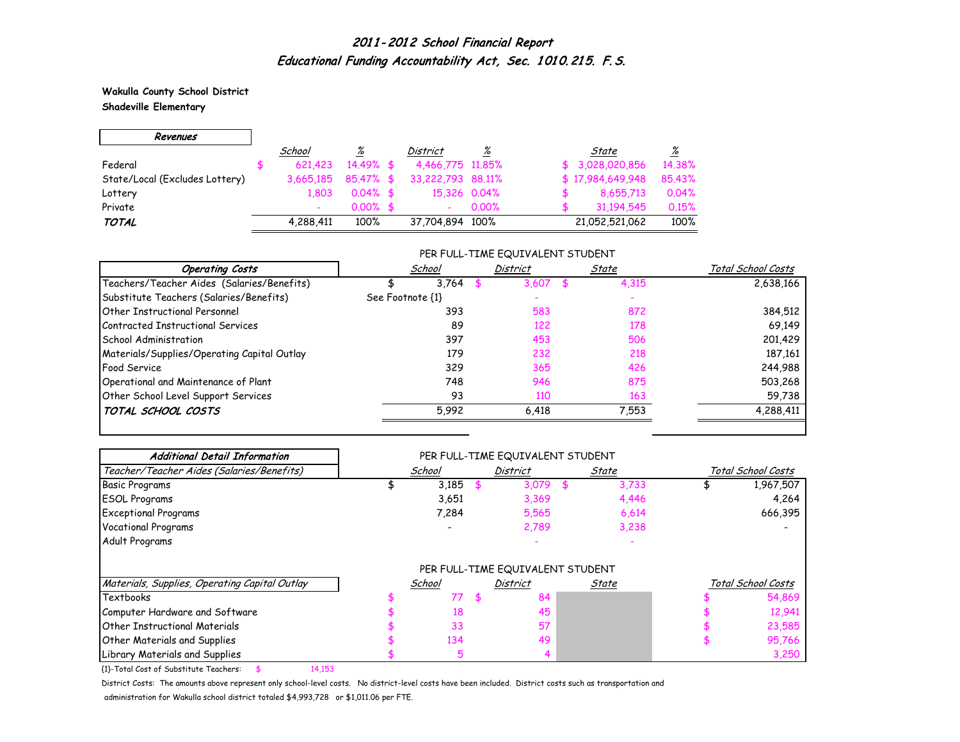**Wakulla County School District**

 $\overline{\phantom{0}}$ 

**Shadeville Elementary**

 $\Gamma$ 

| Revenues                       |           |             |                          |       |                  |                 |
|--------------------------------|-----------|-------------|--------------------------|-------|------------------|-----------------|
|                                | School    | <u>%</u>    | District                 | %     | State            | $\frac{\%}{\%}$ |
| Federal                        | 621.423   | $14.49%$ \$ | 4,466,775 11,85%         |       | \$3,028,020,856  | 14.38%          |
| State/Local (Excludes Lottery) | 3.665.185 | 85,47% \$   | 33,222,793 88,11%        |       | \$17,984,649,948 | 85.43%          |
| Lottery                        | 1.803     | $0.04\%$ \$ | 15,326 0.04%             |       | 8,655,713        | 0.04%           |
| Private                        |           | $0.00\%$ \$ | $\overline{\phantom{0}}$ | 0.00% | 31.194.545       | 0.15%           |
| <b>TOTAL</b>                   | 4,288,411 | 100%        | 37,704,894 100%          |       | 21,052,521,062   | 100%            |

#### PER FULL-TIME EQUIVALENT STUDENT

| <b>Operating Costs</b>                      | School           | <b>District</b> | State | Total School Costs |
|---------------------------------------------|------------------|-----------------|-------|--------------------|
| Teachers/Teacher Aides (Salaries/Benefits)  | 3.764            | 3,607           | 4,315 | 2,638,166          |
| Substitute Teachers (Salaries/Benefits)     | See Footnote {1} |                 |       |                    |
| Other Instructional Personnel               | 393              | 583             | 872   | 384,512            |
| Contracted Instructional Services           | 89               | 122             | 178   | 69,149             |
| School Administration                       | 397              | 453             | 506   | 201,429            |
| Materials/Supplies/Operating Capital Outlay | 179              | 232             | 218   | 187,161            |
| <b>Food Service</b>                         | 329              | 365             | 426   | 244,988            |
| Operational and Maintenance of Plant        | 748              | 946             | 875   | 503,268            |
| Other School Level Support Services         | 93               | 110             | 163   | 59,738             |
| TOTAL SCHOOL COSTS                          | 5,992            | 6,418           | 7,553 | 4,288,411          |
|                                             |                  |                 |       |                    |

| <b>Additional Detail Information</b>          |        |    | PER FULL-TIME EQUIVALENT STUDENT                    |       |       |                    |
|-----------------------------------------------|--------|----|-----------------------------------------------------|-------|-------|--------------------|
| Teacher/Teacher Aides (Salaries/Benefits)     | School |    | <b>District</b>                                     | State |       | Total School Costs |
| <b>Basic Programs</b>                         | 3,185  |    | 3,079                                               |       | 3,733 | 1,967,507          |
| <b>ESOL Programs</b>                          | 3,651  |    | 3,369                                               |       | 4,446 | 4,264              |
| <b>Exceptional Programs</b>                   | 7,284  |    | 5,565                                               |       | 6,614 | 666,395            |
| <b>Vocational Programs</b>                    |        |    | 2,789                                               |       | 3,238 |                    |
| Adult Programs                                |        |    |                                                     |       |       |                    |
|                                               |        |    | PER FULL-TIME EQUIVALENT STUDENT<br><b>District</b> |       |       | Total School Costs |
| Materials, Supplies, Operating Capital Outlay | School |    |                                                     | State |       |                    |
| Textbooks                                     | 77     | 55 | 84                                                  |       |       | 54,869             |
| Computer Hardware and Software                | 18     |    | 45                                                  |       |       | 12,941             |
| <b>Other Instructional Materials</b>          | 33     |    | 57                                                  |       |       | 23,585             |
| Other Materials and Supplies                  | 134    |    | 49                                                  |       |       | 95,766             |
| Library Materials and Supplies                | 5      |    |                                                     |       |       | 3,250              |

{1}-Total Cost of Substitute Teachers: \$ 14,153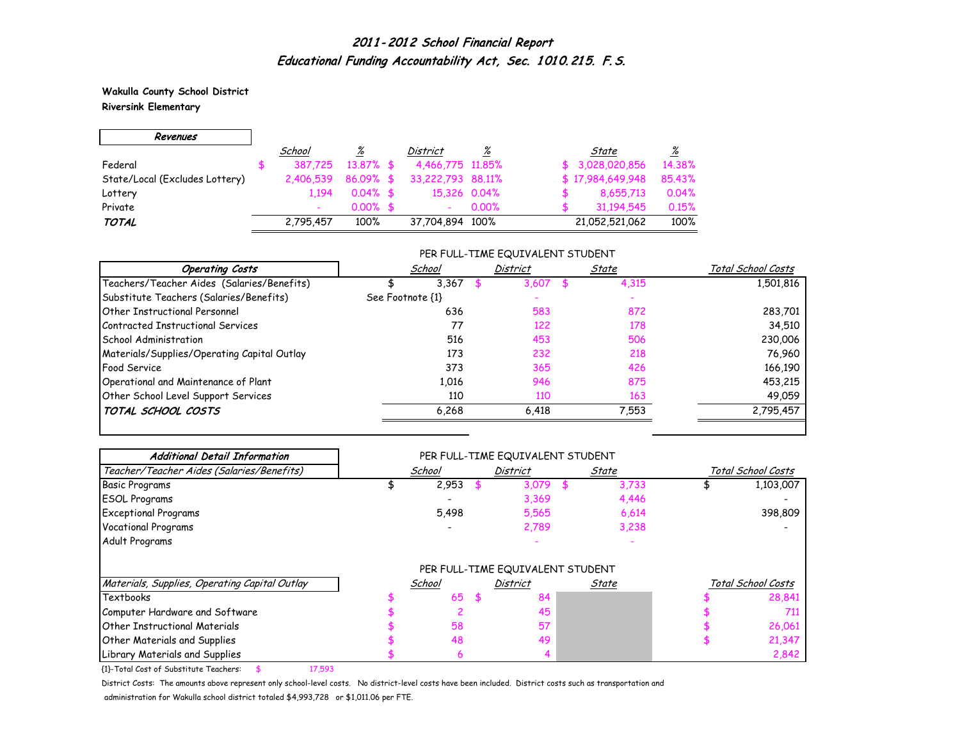**Wakulla County School District Riversink Elementary**

 $\blacksquare$ 

 $\overline{\phantom{0}}$ 

| Revenues                       |           |              |                   |          |                  |                 |
|--------------------------------|-----------|--------------|-------------------|----------|------------------|-----------------|
|                                | School    | <u>%</u>     | District          | %        | State            | $\frac{\%}{\%}$ |
| Federal                        | 387.725   | $13.87\%$ \$ | 4,466,775 11,85%  |          | \$3,028,020,856  | 14.38%          |
| State/Local (Excludes Lottery) | 2,406,539 | $86.09%$ \$  | 33,222,793 88,11% |          | \$17,984,649,948 | 85.43%          |
| Lottery                        | 1.194     | $0.04\%$ \$  | 15,326 0.04%      |          | 8,655,713        | 0.04%           |
| Private                        |           | $0.00\%$ \$  |                   | $0.00\%$ | 31.194.545       | 0.15%           |
| <b>TOTAL</b>                   | 2,795,457 | 100%         | 37,704,894 100%   |          | 21,052,521,062   | 100%            |

#### PER FULL-TIME EQUIVALENT STUDENT

| <b>Operating Costs</b>                      | School           | District | State | Total School Costs |
|---------------------------------------------|------------------|----------|-------|--------------------|
| Teachers/Teacher Aides (Salaries/Benefits)  | 3,367            | 3,607    | 4,315 | 1,501,816          |
| Substitute Teachers (Salaries/Benefits)     | See Footnote {1} |          |       |                    |
| Other Instructional Personnel               | 636              | 583      | 872   | 283,701            |
| Contracted Instructional Services           | 77               | 122      | 178   | 34,510             |
| School Administration                       | 516              | 453      | 506   | 230,006            |
| Materials/Supplies/Operating Capital Outlay | 173              | 232      | 218   | 76,960             |
| <b>Food Service</b>                         | 373              | 365      | 426   | 166,190            |
| Operational and Maintenance of Plant        | 1.016            | 946      | 875   | 453,215            |
| Other School Level Support Services         | 110              | 110      | 163   | 49,059             |
| TOTAL SCHOOL COSTS                          | 6,268            | 6.418    | 7,553 | 2,795,457          |

| <b>Additional Detail Information</b>          |        | PER FULL-TIME EQUIVALENT STUDENT |       |       |                    |
|-----------------------------------------------|--------|----------------------------------|-------|-------|--------------------|
| Teacher/Teacher Aides (Salaries/Benefits)     | School | <b>District</b>                  | State |       | Total School Costs |
| Basic Programs                                | 2,953  | 3,079                            |       | 3,733 | 1,103,007          |
| <b>ESOL Programs</b>                          |        | 3,369                            |       | 4,446 |                    |
| <b>Exceptional Programs</b>                   | 5,498  | 5,565                            |       | 6,614 | 398,809            |
| <b>Vocational Programs</b>                    |        | 2,789                            |       | 3,238 |                    |
| Adult Programs                                |        |                                  |       |       |                    |
|                                               |        | PER FULL-TIME EQUIVALENT STUDENT |       |       |                    |
| Materials, Supplies, Operating Capital Outlay | School | <b>District</b>                  | State |       | Total School Costs |
| <b>Textbooks</b>                              | 65     | \$<br>84                         |       |       | 28,841             |
| Computer Hardware and Software                |        | 45                               |       |       | 711                |
| <b>Other Instructional Materials</b>          | 58     | 57                               |       |       | 26,061             |
| Other Materials and Supplies                  | 48     | 49                               |       |       | 21,347             |
| Library Materials and Supplies                | h      |                                  |       |       | 2,842              |

{1}-Total Cost of Substitute Teachers: \$ 17,593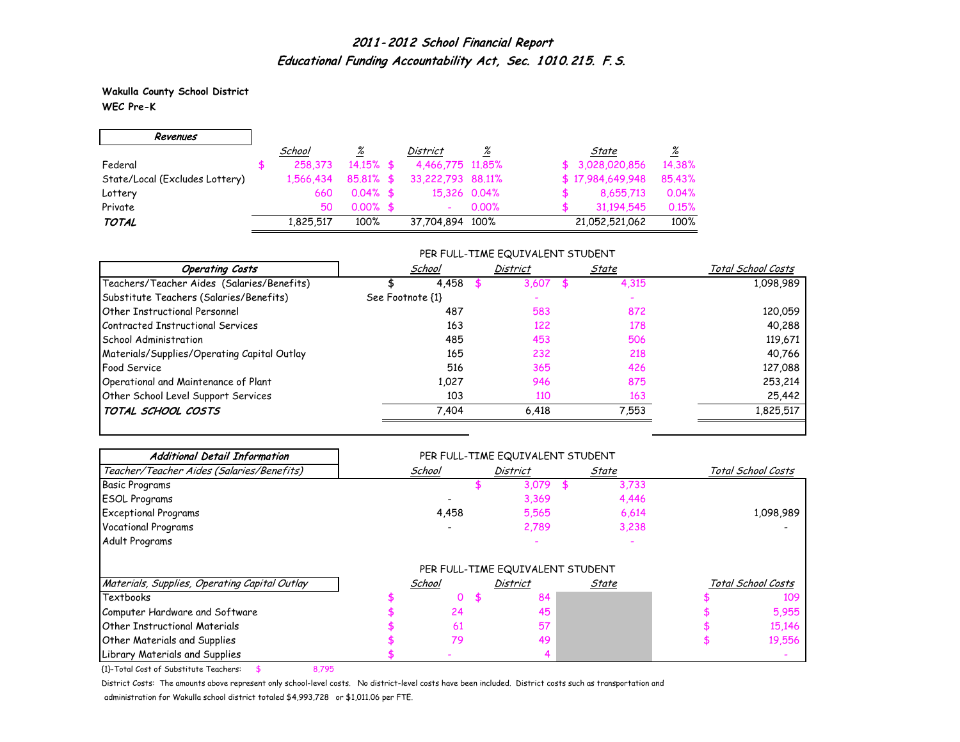**Wakulla County School District WEC Pre-K**

г

| Revenues                       |           |              |                   |          |                  |                 |
|--------------------------------|-----------|--------------|-------------------|----------|------------------|-----------------|
|                                | School    | <u>%</u>     | District          | <u>%</u> | State            | $\frac{\%}{\%}$ |
| Federal                        | 258,373   | $14.15\%$ \$ | 4,466,775 11,85%  |          | \$3,028,020,856  | 14.38%          |
| State/Local (Excludes Lottery) | 1.566.434 | $85.81\%$ \$ | 33,222,793 88,11% |          | \$17,984,649,948 | 85.43%          |
| Lottery                        | 660       | $0.04\%$ \$  | 15,326 0.04%      |          | 8,655,713        | 0.04%           |
| Private                        | 50        | $0.00\%$ \$  |                   | $0.00\%$ | 31.194.545       | 0.15%           |
| <b>TOTAL</b>                   | 1.825.517 | 100%         | 37,704,894 100%   |          | 21,052,521,062   | 100%            |

#### PER FULL-TIME EQUIVALENT STUDENT

| <b>Operating Costs</b>                      | School           | District | State | Total School Costs |  |
|---------------------------------------------|------------------|----------|-------|--------------------|--|
| Teachers/Teacher Aides (Salaries/Benefits)  | 4,458            | 3.607    | 4,315 | 1,098,989          |  |
| Substitute Teachers (Salaries/Benefits)     | See Footnote {1} |          |       |                    |  |
| Other Instructional Personnel               | 487              | 583      | 872   | 120,059            |  |
| Contracted Instructional Services           | 163              | 122      | 178   | 40,288             |  |
| School Administration                       | 485              | 453      | 506   | 119,671            |  |
| Materials/Supplies/Operating Capital Outlay | 165              | 232      | 218   | 40,766             |  |
| <b>Food Service</b>                         | 516              | 365      | 426   | 127,088            |  |
| Operational and Maintenance of Plant        | 1,027            | 946      | 875   | 253,214            |  |
| Other School Level Support Services         | 103              | 110      | 163   | 25,442             |  |
| TOTAL SCHOOL COSTS                          | 7,404            | 6,418    | 7,553 | 1,825,517          |  |

| <b>Additional Detail Information</b>                                                                                                                                        | PER FULL-TIME EQUIVALENT STUDENT |        |                                  |       |                    |  |  |
|-----------------------------------------------------------------------------------------------------------------------------------------------------------------------------|----------------------------------|--------|----------------------------------|-------|--------------------|--|--|
| Teacher/Teacher Aides (Salaries/Benefits)                                                                                                                                   |                                  | School | <b>District</b>                  | State | Total School Costs |  |  |
| <b>Basic Programs</b>                                                                                                                                                       |                                  |        | 3,079                            | 3,733 |                    |  |  |
| <b>ESOL Programs</b>                                                                                                                                                        |                                  |        | 3,369                            | 4,446 |                    |  |  |
| <b>Exceptional Programs</b>                                                                                                                                                 |                                  | 4,458  | 5,565                            | 6,614 | 1,098,989          |  |  |
| Vocational Programs                                                                                                                                                         |                                  |        | 2,789                            | 3,238 |                    |  |  |
| Adult Programs                                                                                                                                                              |                                  |        |                                  |       |                    |  |  |
|                                                                                                                                                                             |                                  |        |                                  |       |                    |  |  |
|                                                                                                                                                                             |                                  |        | PER FULL-TIME EQUIVALENT STUDENT |       |                    |  |  |
|                                                                                                                                                                             |                                  | School | <b>District</b>                  | State | Total School Costs |  |  |
|                                                                                                                                                                             |                                  | 0      | 84<br>\$.                        |       | 109                |  |  |
|                                                                                                                                                                             |                                  | 24     | 45                               |       | 5,955              |  |  |
|                                                                                                                                                                             |                                  | 61     | 57                               |       | 15,146             |  |  |
| Materials, Supplies, Operating Capital Outlay<br><b>Textbooks</b><br>Computer Hardware and Software<br><b>Other Instructional Materials</b><br>Other Materials and Supplies |                                  | 79     | 49                               |       | 19,556             |  |  |

{1}-Total Cost of Substitute Teachers: \$ 8,795